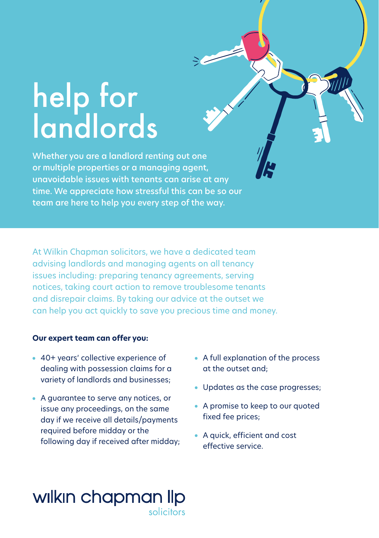# help for landlords

Whether you are a landlord renting out one or multiple properties or a managing agent, unavoidable issues with tenants can arise at any time. We appreciate how stressful this can be so our team are here to help you every step of the way.

At Wilkin Chapman solicitors, we have a dedicated team advising landlords and managing agents on all tenancy issues including: preparing tenancy agreements, serving notices, taking court action to remove troublesome tenants and disrepair claims. By taking our advice at the outset we can help you act quickly to save you precious time and money.

### **Our expert team can offer you:**

- 40+ years' collective experience of dealing with possession claims for a variety of landlords and businesses;
- A guarantee to serve any notices, or issue any proceedings, on the same day if we receive all details/payments required before midday or the following day if received after midday;
- A full explanation of the process at the outset and;
- Updates as the case progresses;
- A promise to keep to our quoted fixed fee prices;
- A quick, efficient and cost effective service.

# wilkin chapman lip solicitors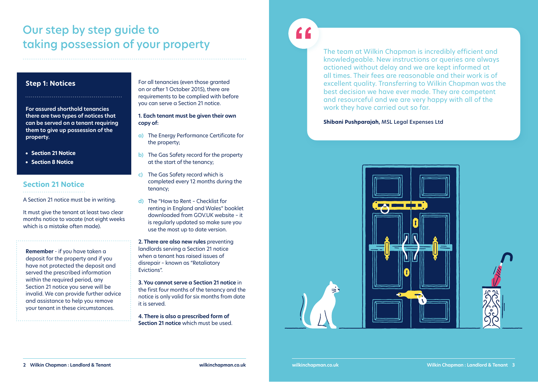# Our step by step guide to taking possession of your property

## **Step 1: Notices**

**For assured shorthold tenancies there are two types of notices that can be served on a tenant requiring them to give up possession of the property.**

- **Section 21 Notice**
- **Section 8 Notice**

## **Section 21 Notice**

A Section 21 notice must be in writing.

It must give the tenant at least two clear months notice to vacate (not eight weeks which is a mistake often made).

**Remember** - if you have taken a deposit for the property and if you have not protected the deposit and served the prescribed information within the required period, any Section 21 notice you serve will be invalid. We can provide further advice and assistance to help you remove your tenant in these circumstances.

For all tenancies (even those granted on or after 1 October 2015), there are requirements to be complied with before you can serve a Section 21 notice.

**1. Each tenant must be given their own copy of:**

- **a)** The Energy Performance Certificate for the property;
- **b**) The Gas Safety record for the property at the start of the tenancy;
- **c)** The Gas Safety record which is completed every 12 months during the tenancy;
- **d)** The "How to Rent Checklist for renting in England and Wales" booklet downloaded from GOV.UK website – it is regularly updated so make sure you use the most up to date version.

**2. There are also new rules** preventing landlords serving a Section 21 notice when a tenant has raised issues of disrepair – known as "Retaliatory Evictions".

**3. You cannot serve a Section 21 notice** in the first four months of the tenancy and the notice is only valid for six months from date it is served.

**4. There is also a prescribed form of Section 21 notice** which must be used.  $66$ 

The team at Wilkin Chapman is incredibly efficient and knowledgeable. New instructions or queries are always actioned without delay and we are kept informed at all times. Their fees are reasonable and their work is of excellent quality. Transferring to Wilkin Chapman was the best decision we have ever made. They are competent and resourceful and we are very happy with all of the work they have carried out so far.

**Shibani Pushparajah,** MSL Legal Expenses Ltd

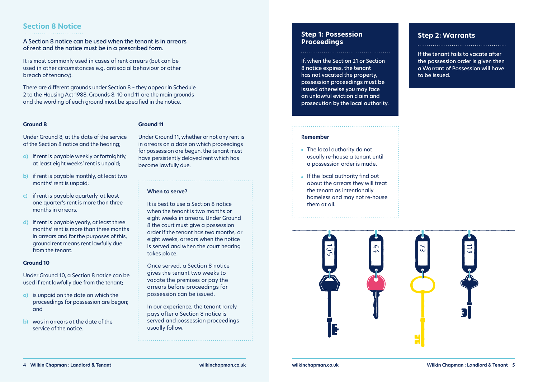# **Section 8 Notice**

A Section 8 notice can be used when the tenant is in arrears of rent and the notice must be in a prescribed form.

It is most commonly used in cases of rent arrears (but can be used in other circumstances e.g. antisocial behaviour or other breach of tenancy).

There are different grounds under Section 8 - they appear in Schedule 2 to the Housing Act 1988. Grounds 8, 10 and 11 are the main grounds and the wording of each ground must be specified in the notice.

### **Ground 8**

### **Ground 11**

Under Ground 8, at the date of the service of the Section 8 notice and the hearing;

- **a)** if rent is payable weekly or fortnightly, at least eight weeks' rent is unpaid;
- **b**) if rent is payable monthly, at least two months' rent is unpaid;
- **c)** if rent is payable quarterly, at least one quarter's rent is more than three months in arrears.
- **d)** if rent is payable yearly, at least three months' rent is more than three months in arrears and for the purposes of this, ground rent means rent lawfully due from the tenant.

### **Ground 10**

Under Ground 10, a Section 8 notice can be used if rent lawfully due from the tenant;

- **a)** is unpaid on the date on which the proceedings for possession are begun; and
- **b)** was in arrears at the date of the service of the notice.

Under Ground 11, whether or not any rent is in arrears on a date on which proceedings for possession are begun, the tenant must have persistently delayed rent which has become lawfully due.

### **When to serve?**

It is best to use a Section 8 notice when the tenant is two months or eight weeks in arrears. Under Ground 8 the court must give a possession order if the tenant has two months, or eight weeks, arrears when the notice is served and when the court hearing takes place.

Once served, a Section 8 notice gives the tenant two weeks to vacate the premises or pay the arrears before proceedings for possession can be issued.

In our experience, the tenant rarely pays after a Section 8 notice is served and possession proceedings usually follow.

### **Step 1: Possession Proceedings**

If, when the Section 21 or Section 8 notice expires, the tenant has not vacated the property, possession proceedings must be issued otherwise you may face an unlawful eviction claim and prosecution by the local authority.

## **Step 2: Warrants**

If the tenant fails to vacate after the possession order is given then a Warrant of Possession will have to be issued.

### **Remember**

- The local authority do not usually re-house a tenant until a possession order is made.
- **If the local authority find out** about the arrears they will treat the tenant as intentionally homeless and may not re-house them at all.

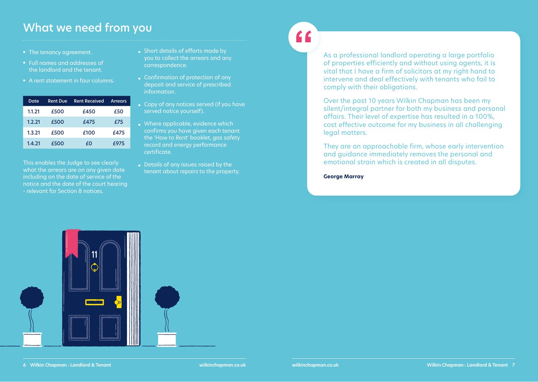# What we need from you

- The tenancy agreement.
- Full names and addresses of the landlord and the tenant.
- A rent statement in four columns.

| Date   | <b>Rent Due</b> | <b>Rent Received</b> | <b>Arrears</b> |
|--------|-----------------|----------------------|----------------|
| 1.1.21 | £500            | £450                 | £50            |
| 1.2.21 | £500            | £475                 | £75            |
| 1.3.21 | £500            | £100                 | £475           |
| 1.4.21 | £500            | £Ο                   | £975           |

This enables the Judge to see clearly what the arrears are on any given date including on the date of service of the notice and the date of the court hearing - relevant for Section 8 notices.

- Short details of efforts made by you to collect the arrears and any correspondence.
- Confirmation of protection of any deposit and service of prescribed information.
- Copy of any notices served (if you have served notice yourself).
- Where applicable, evidence which confirms you have given each tenant the 'How to Rent' booklet, gas safety record and energy performance certificate.
- Details of any issues raised by the tenant about repairs to the property.

# $66$

As a professional landlord operating a large portfolio of properties efficiently and without using agents, it is vital that I have a firm of solicitors at my right hand to intervene and deal effectively with tenants who fail to comply with their obligations.

Over the past 10 years Wilkin Chapman has been my silent/integral partner for both my business and personal affairs. Their level of expertise has resulted in a 100%, cost effective outcome for my business in all challenging legal matters.

They are an approachable firm, whose early intervention and guidance immediately removes the personal and emotional strain which is created in all disputes.

**George Marray**